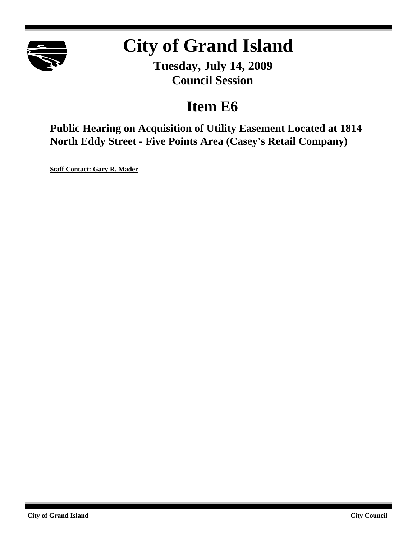

# **City of Grand Island**

**Tuesday, July 14, 2009 Council Session**

# **Item E6**

**Public Hearing on Acquisition of Utility Easement Located at 1814 North Eddy Street - Five Points Area (Casey's Retail Company)**

**Staff Contact: Gary R. Mader**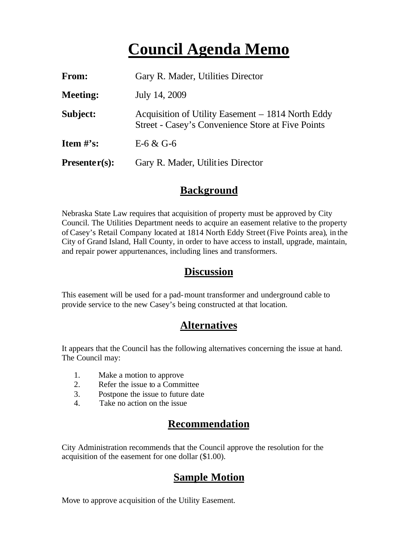# **Council Agenda Memo**

| From:           | Gary R. Mader, Utilities Director                                                                             |
|-----------------|---------------------------------------------------------------------------------------------------------------|
| <b>Meeting:</b> | July 14, 2009                                                                                                 |
| Subject:        | Acquisition of Utility Easement – 1814 North Eddy<br><b>Street - Casey's Convenience Store at Five Points</b> |
| Item $\#$ 's:   | E-6 & G-6                                                                                                     |
| $Presenter(s):$ | Gary R. Mader, Utilities Director                                                                             |

#### **Background**

Nebraska State Law requires that acquisition of property must be approved by City Council. The Utilities Department needs to acquire an easement relative to the property of Casey's Retail Company located at 1814 North Eddy Street (Five Points area), in the City of Grand Island, Hall County, in order to have access to install, upgrade, maintain, and repair power appurtenances, including lines and transformers.

#### **Discussion**

This easement will be used for a pad-mount transformer and underground cable to provide service to the new Casey's being constructed at that location.

### **Alternatives**

It appears that the Council has the following alternatives concerning the issue at hand. The Council may:

- 1. Make a motion to approve
- 2. Refer the issue to a Committee
- 3. Postpone the issue to future date
- 4. Take no action on the issue

## **Recommendation**

City Administration recommends that the Council approve the resolution for the acquisition of the easement for one dollar (\$1.00).

## **Sample Motion**

Move to approve acquisition of the Utility Easement.